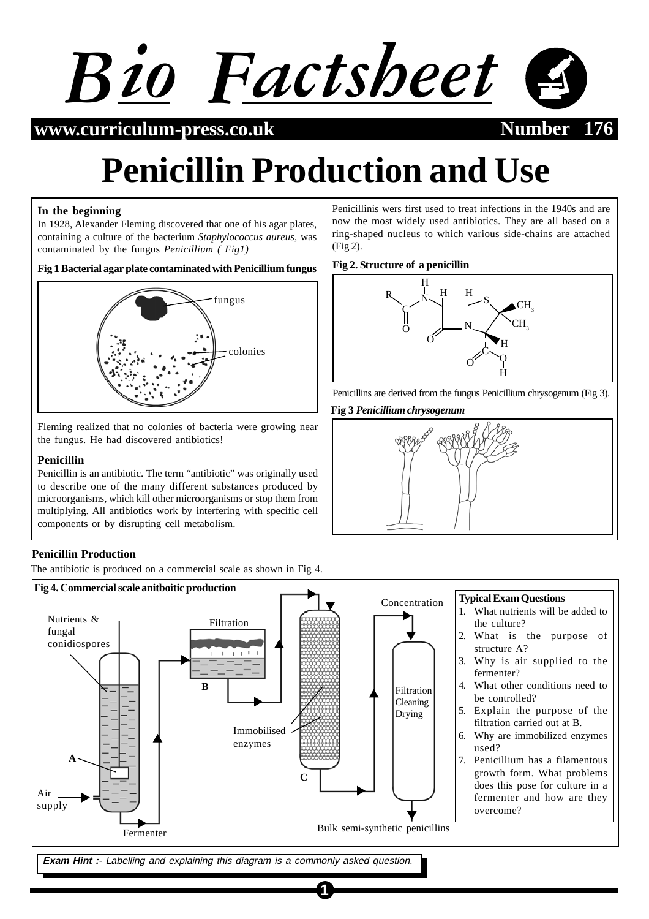

**www.curriculum-press.co.uk Number 176**

# **Penicillin Production and Use**

# **In the beginning**

In 1928, Alexander Fleming discovered that one of his agar plates, containing a culture of the bacterium *Staphylococcus aureus*, was contaminated by the fungus *Penicillium ( Fig1)*

# **Fig 1 Bacterial agar plate contaminated with Penicillium fungus**



Fleming realized that no colonies of bacteria were growing near the fungus. He had discovered antibiotics!

# **Penicillin**

Penicillin is an antibiotic. The term "antibiotic" was originally used to describe one of the many different substances produced by microorganisms, which kill other microorganisms or stop them from multiplying. All antibiotics work by interfering with specific cell components or by disrupting cell metabolism.

# **Penicillin Production**

The antibiotic is produced on a commercial scale as shown in Fig 4.



**1**

**Exam Hint :**- Labelling and explaining this diagram is a commonly asked question.

Penicillinis wers first used to treat infections in the 1940s and are now the most widely used antibiotics. They are all based on a ring-shaped nucleus to which various side-chains are attached (Fig 2).

# **Fig 2. Structure of a penicillin**



**Fig 3** *Penicillium chrysogenum*

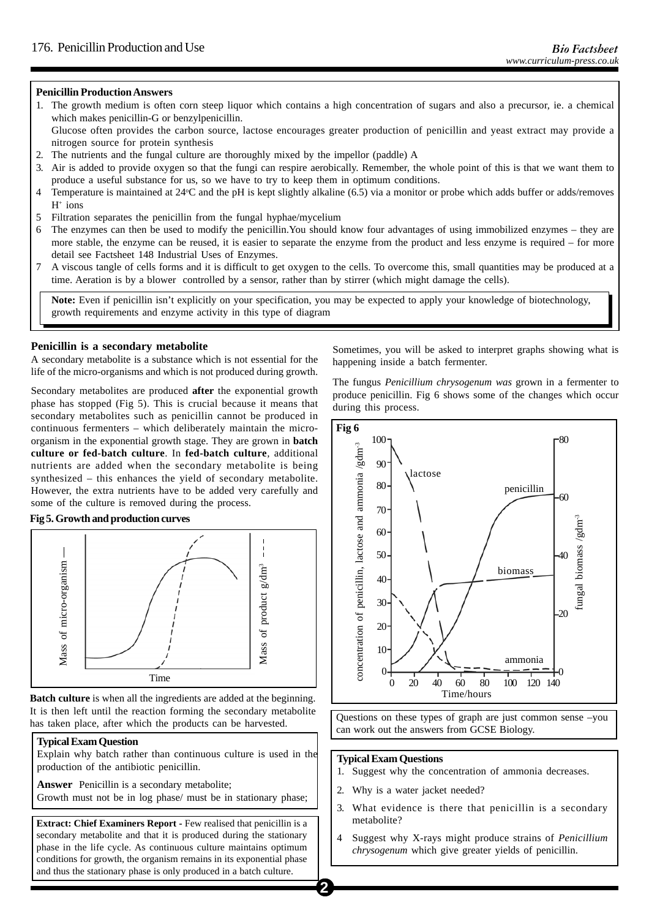# **Penicillin Production Answers**

1. The growth medium is often corn steep liquor which contains a high concentration of sugars and also a precursor, ie. a chemical which makes penicillin-G or benzylpenicillin.

Glucose often provides the carbon source, lactose encourages greater production of penicillin and yeast extract may provide a nitrogen source for protein synthesis

- 2. The nutrients and the fungal culture are thoroughly mixed by the impellor (paddle) A
- 3. Air is added to provide oxygen so that the fungi can respire aerobically. Remember, the whole point of this is that we want them to produce a useful substance for us, so we have to try to keep them in optimum conditions.
- 4 Temperature is maintained at 24°C and the pH is kept slightly alkaline (6.5) via a monitor or probe which adds buffer or adds/removes  $H^+$  ions
- 5 Filtration separates the penicillin from the fungal hyphae/mycelium
- 6 The enzymes can then be used to modify the penicillin.You should know four advantages of using immobilized enzymes they are more stable, the enzyme can be reused, it is easier to separate the enzyme from the product and less enzyme is required – for more detail see Factsheet 148 Industrial Uses of Enzymes.
- 7 A viscous tangle of cells forms and it is difficult to get oxygen to the cells. To overcome this, small quantities may be produced at a time. Aeration is by a blower controlled by a sensor, rather than by stirrer (which might damage the cells).

**Note:** Even if penicillin isn't explicitly on your specification, you may be expected to apply your knowledge of biotechnology, growth requirements and enzyme activity in this type of diagram

# **Penicillin is a secondary metabolite**

A secondary metabolite is a substance which is not essential for the life of the micro-organisms and which is not produced during growth.

Secondary metabolites are produced **after** the exponential growth phase has stopped (Fig 5). This is crucial because it means that secondary metabolites such as penicillin cannot be produced in continuous fermenters – which deliberately maintain the microorganism in the exponential growth stage. They are grown in **batch culture or fed-batch culture**. In **fed-batch culture***,* additional nutrients are added when the secondary metabolite is being synthesized – this enhances the yield of secondary metabolite. However, the extra nutrients have to be added very carefully and some of the culture is removed during the process.

# **Fig 5. Growth and production curves**



**Batch culture** is when all the ingredients are added at the beginning. It is then left until the reaction forming the secondary metabolite has taken place, after which the products can be harvested.

#### **Typical Exam Question**

Explain why batch rather than continuous culture is used in the production of the antibiotic penicillin.

**Answer** Penicillin is a secondary metabolite; Growth must not be in log phase/ must be in stationary phase;

**Extract: Chief Examiners Report - Few realised that penicillin is a** secondary metabolite and that it is produced during the stationary phase in the life cycle. As continuous culture maintains optimum conditions for growth, the organism remains in its exponential phase and thus the stationary phase is only produced in a batch culture.

Sometimes, you will be asked to interpret graphs showing what is happening inside a batch fermenter.

The fungus *Penicillium chrysogenum was* grown in a fermenter to produce penicillin. Fig 6 shows some of the changes which occur during this process.



Questions on these types of graph are just common sense –you can work out the answers from GCSE Biology.

### **Typical Exam Questions**

- 1. Suggest why the concentration of ammonia decreases.
- 2. Why is a water jacket needed?
- 3. What evidence is there that penicillin is a secondary metabolite?
- 4 Suggest why X-rays might produce strains of *Penicillium chrysogenum* which give greater yields of penicillin.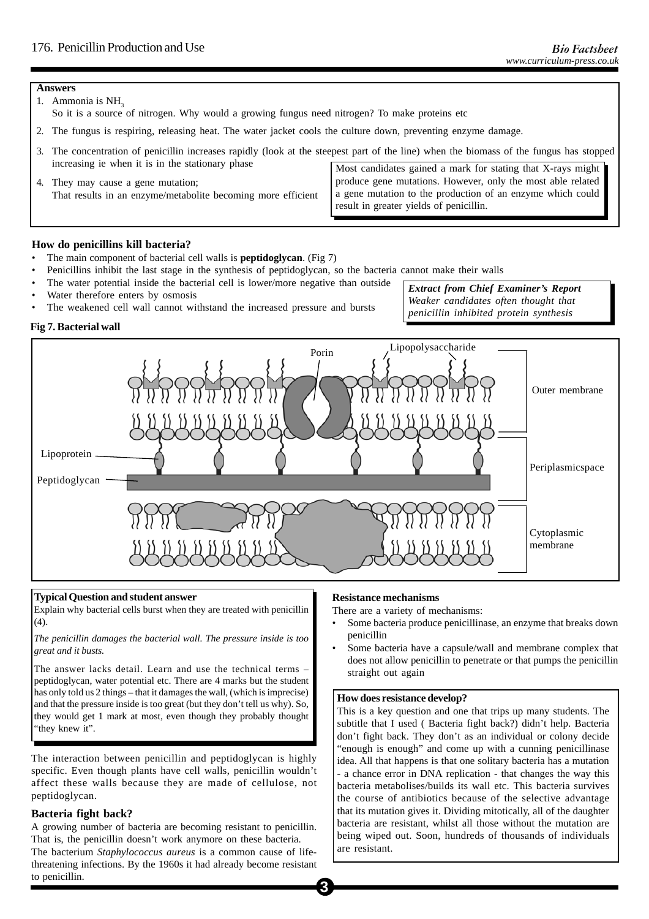#### **Answers**

- 1. Ammonia is NH<sub>3</sub>
	- So it is a source of nitrogen. Why would a growing fungus need nitrogen? To make proteins etc
- 2. The fungus is respiring, releasing heat. The water jacket cools the culture down, preventing enzyme damage.
- 3. The concentration of penicillin increases rapidly (look at the steepest part of the line) when the biomass of the fungus has stopped increasing ie when it is in the stationary phase Most candidates gained a mark for stating that X-rays might

| 4. They may cause a gene mutation;                           | produce gene mutations. However, only the most able related |  |  |
|--------------------------------------------------------------|-------------------------------------------------------------|--|--|
| That results in an enzyme/metabolite becoming more efficient | a gene mutation to the production of an enzyme which could  |  |  |
|                                                              | I result in greater yields of penicillin.                   |  |  |

# **How do penicillins kill bacteria?**

- The main component of bacterial cell walls is **peptidoglycan**. (Fig 7)
- Penicillins inhibit the last stage in the synthesis of peptidoglycan, so the bacteria cannot make their walls
- The water potential inside the bacterial cell is lower/more negative than outside
- Water therefore enters by osmosis
- The weakened cell wall cannot withstand the increased pressure and bursts

*Extract from Chief Examiner's Report Weaker candidates often thought that penicillin inhibited protein synthesis*

# **Fig 7. Bacterial wall**



#### **Typical Question and student answer**

Explain why bacterial cells burst when they are treated with penicillin  $(4)$ .

*The penicillin damages the bacterial wall. The pressure inside is too great and it busts.*

The answer lacks detail. Learn and use the technical terms – peptidoglycan, water potential etc. There are 4 marks but the student has only told us 2 things – that it damages the wall, (which is imprecise) and that the pressure inside is too great (but they don't tell us why). So, they would get 1 mark at most, even though they probably thought "they knew it".

The interaction between penicillin and peptidoglycan is highly specific. Even though plants have cell walls, penicillin wouldn't affect these walls because they are made of cellulose, not peptidoglycan.

# **Bacteria fight back?**

A growing number of bacteria are becoming resistant to penicillin. That is, the penicillin doesn't work anymore on these bacteria. The bacterium *Staphylococcus aureus* is a common cause of lifethreatening infections. By the 1960s it had already become resistant to penicillin.

#### **Resistance mechanisms**

There are a variety of mechanisms:

- Some bacteria produce penicillinase, an enzyme that breaks down penicillin
- Some bacteria have a capsule/wall and membrane complex that does not allow penicillin to penetrate or that pumps the penicillin straight out again

### **How does resistance develop?**

This is a key question and one that trips up many students. The subtitle that I used ( Bacteria fight back?) didn't help. Bacteria don't fight back. They don't as an individual or colony decide "enough is enough" and come up with a cunning penicillinase idea. All that happens is that one solitary bacteria has a mutation - a chance error in DNA replication - that changes the way this bacteria metabolises/builds its wall etc. This bacteria survives the course of antibiotics because of the selective advantage that its mutation gives it. Dividing mitotically, all of the daughter bacteria are resistant, whilst all those without the mutation are being wiped out. Soon, hundreds of thousands of individuals are resistant.